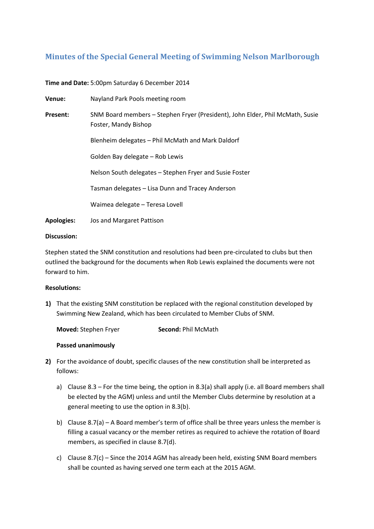## **Minutes of the Special General Meeting of Swimming Nelson Marlborough**

**Time and Date:** 5:00pm Saturday 6 December 2014

| Venue:            | Nayland Park Pools meeting room                                                                       |
|-------------------|-------------------------------------------------------------------------------------------------------|
| Present:          | SNM Board members - Stephen Fryer (President), John Elder, Phil McMath, Susie<br>Foster, Mandy Bishop |
|                   | Blenheim delegates - Phil McMath and Mark Daldorf                                                     |
|                   | Golden Bay delegate - Rob Lewis                                                                       |
|                   | Nelson South delegates – Stephen Fryer and Susie Foster                                               |
|                   | Tasman delegates - Lisa Dunn and Tracey Anderson                                                      |
|                   | Waimea delegate - Teresa Lovell                                                                       |
| <b>Apologies:</b> | Jos and Margaret Pattison                                                                             |

## **Discussion:**

Stephen stated the SNM constitution and resolutions had been pre-circulated to clubs but then outlined the background for the documents when Rob Lewis explained the documents were not forward to him.

## **Resolutions:**

**1)** That the existing SNM constitution be replaced with the regional constitution developed by Swimming New Zealand, which has been circulated to Member Clubs of SNM.

| <b>Moved:</b> Stephen Fryer | Second: Phil McMath |
|-----------------------------|---------------------|
|-----------------------------|---------------------|

## **Passed unanimously**

- **2)** For the avoidance of doubt, specific clauses of the new constitution shall be interpreted as follows:
	- a) Clause 8.3 For the time being, the option in 8.3(a) shall apply (i.e. all Board members shall be elected by the AGM) unless and until the Member Clubs determine by resolution at a general meeting to use the option in 8.3(b).
	- b) Clause 8.7(a) A Board member's term of office shall be three years unless the member is filling a casual vacancy or the member retires as required to achieve the rotation of Board members, as specified in clause 8.7(d).
	- c) Clause 8.7(c) Since the 2014 AGM has already been held, existing SNM Board members shall be counted as having served one term each at the 2015 AGM.